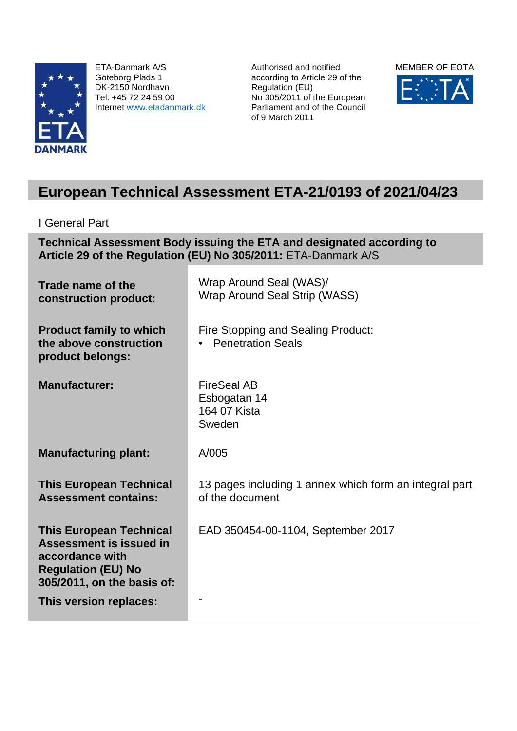

ETA-Danmark A/S Göteborg Plads 1 DK-2150 Nordhavn Tel. +45 72 24 59 00 Internet [www.etadanmark.dk](http://www.etadanmark.dk/)

Authorised and notified according to Article 29 of the Regulation (EU) No 305/2011 of the European Parliament and of the Council of 9 March 2011



# **European Technical Assessment ETA-21/0193 of 2021/04/23**

I General Part

**Technical Assessment Body issuing the ETA and designated according to Article 29 of the Regulation (EU) No 305/2011:** ETA-Danmark A/S

**Trade name of the construction product:** Wrap Around Seal (WAS)/ Wrap Around Seal Strip (WASS) **Product family to which the above construction product belongs:** Fire Stopping and Sealing Product: • Penetration Seals **Manufacturer:** FireSeal AB Esbogatan 14 164 07 Kista Sweden **Manufacturing plant:** A/005 **This European Technical Assessment contains:** 13 pages including 1 annex which form an integral part of the document **This European Technical Assessment is issued in accordance with Regulation (EU) No 305/2011, on the basis of:** EAD 350454-00-1104, September 2017 **This version replaces:**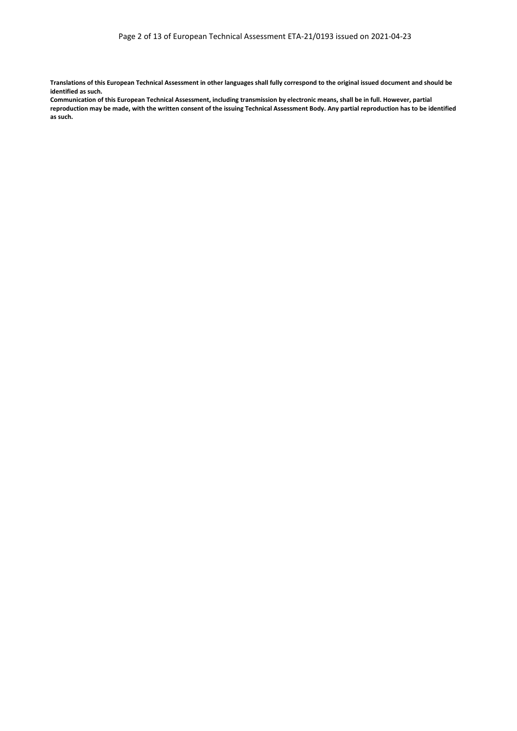**Translations of this European Technical Assessment in other languages shall fully correspond to the original issued document and should be identified as such.**

**Communication of this European Technical Assessment, including transmission by electronic means, shall be in full. However, partial reproduction may be made, with the written consent of the issuing Technical Assessment Body. Any partial reproduction has to be identified as such.**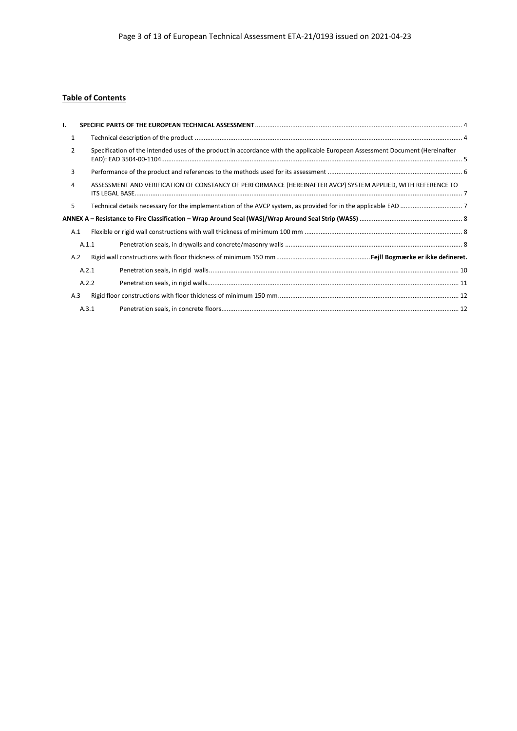## **Table of Contents**

| ı.           |       |                                                                                                                               |
|--------------|-------|-------------------------------------------------------------------------------------------------------------------------------|
| $\mathbf{1}$ |       |                                                                                                                               |
| 2            |       | Specification of the intended uses of the product in accordance with the applicable European Assessment Document (Hereinafter |
| 3            |       |                                                                                                                               |
| 4            |       | ASSESSMENT AND VERIFICATION OF CONSTANCY OF PERFORMANCE (HEREINAFTER AVCP) SYSTEM APPLIED, WITH REFERENCE TO                  |
| 5            |       |                                                                                                                               |
|              |       |                                                                                                                               |
| A.1          |       |                                                                                                                               |
|              | A.1.1 |                                                                                                                               |
| A.2          |       |                                                                                                                               |
|              | A.2.1 |                                                                                                                               |
|              | A.2.2 |                                                                                                                               |
| A.3          |       |                                                                                                                               |
|              | A.3.1 |                                                                                                                               |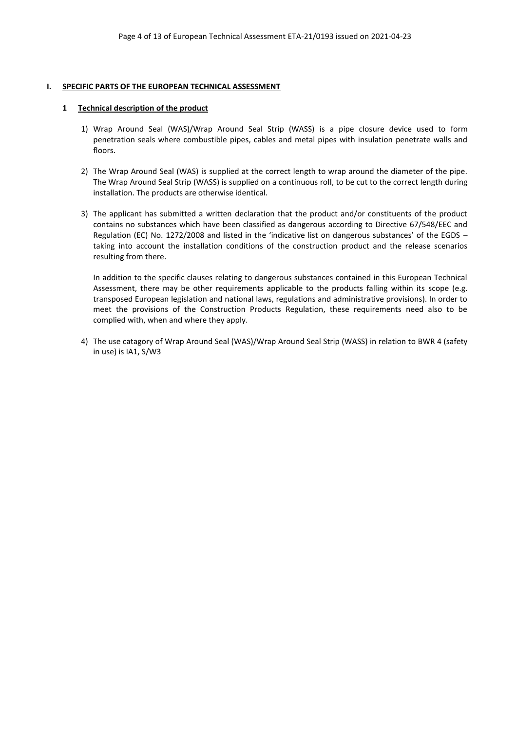#### <span id="page-3-0"></span>**I. SPECIFIC PARTS OF THE EUROPEAN TECHNICAL ASSESSMENT**

#### <span id="page-3-1"></span>**1 Technical description of the product**

- 1) Wrap Around Seal (WAS)/Wrap Around Seal Strip (WASS) is a pipe closure device used to form penetration seals where combustible pipes, cables and metal pipes with insulation penetrate walls and floors.
- 2) The Wrap Around Seal (WAS) is supplied at the correct length to wrap around the diameter of the pipe. The Wrap Around Seal Strip (WASS) is supplied on a continuous roll, to be cut to the correct length during installation. The products are otherwise identical.
- 3) The applicant has submitted a written declaration that the product and/or constituents of the product contains no substances which have been classified as dangerous according to Directive 67/548/EEC and Regulation (EC) No. 1272/2008 and listed in the 'indicative list on dangerous substances' of the EGDS – taking into account the installation conditions of the construction product and the release scenarios resulting from there.

In addition to the specific clauses relating to dangerous substances contained in this European Technical Assessment, there may be other requirements applicable to the products falling within its scope (e.g. transposed European legislation and national laws, regulations and administrative provisions). In order to meet the provisions of the Construction Products Regulation, these requirements need also to be complied with, when and where they apply.

<span id="page-3-2"></span>4) The use catagory of Wrap Around Seal (WAS)/Wrap Around Seal Strip (WASS) in relation to BWR 4 (safety in use) is IA1, S/W3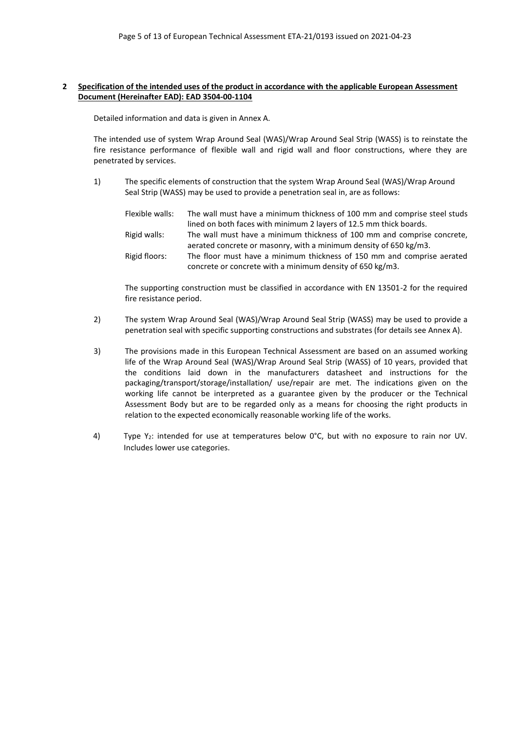#### **2 Specification of the intended uses of the product in accordance with the applicable European Assessment Document (Hereinafter EAD): EAD 3504-00-1104**

Detailed information and data is given in Annex A.

The intended use of system Wrap Around Seal (WAS)/Wrap Around Seal Strip (WASS) is to reinstate the fire resistance performance of flexible wall and rigid wall and floor constructions, where they are penetrated by services.

1) The specific elements of construction that the system Wrap Around Seal (WAS)/Wrap Around Seal Strip (WASS) may be used to provide a penetration seal in, are as follows:

| Flexible walls: | The wall must have a minimum thickness of 100 mm and comprise steel studs |
|-----------------|---------------------------------------------------------------------------|
|                 | lined on both faces with minimum 2 layers of 12.5 mm thick boards.        |
| Rigid walls:    | The wall must have a minimum thickness of 100 mm and comprise concrete,   |
|                 | aerated concrete or masonry, with a minimum density of 650 kg/m3.         |
| Rigid floors:   | The floor must have a minimum thickness of 150 mm and comprise aerated    |
|                 | concrete or concrete with a minimum density of 650 kg/m3.                 |

The supporting construction must be classified in accordance with EN 13501-2 for the required fire resistance period.

- 2) The system Wrap Around Seal (WAS)/Wrap Around Seal Strip (WASS) may be used to provide a penetration seal with specific supporting constructions and substrates (for details see Annex A).
- 3) The provisions made in this European Technical Assessment are based on an assumed working life of the Wrap Around Seal (WAS)/Wrap Around Seal Strip (WASS) of 10 years, provided that the conditions laid down in the manufacturers datasheet and instructions for the packaging/transport/storage/installation/ use/repair are met. The indications given on the working life cannot be interpreted as a guarantee given by the producer or the Technical Assessment Body but are to be regarded only as a means for choosing the right products in relation to the expected economically reasonable working life of the works.
- 4) Type  $Y_2$ : intended for use at temperatures below  $0^{\circ}$ C, but with no exposure to rain nor UV. Includes lower use categories.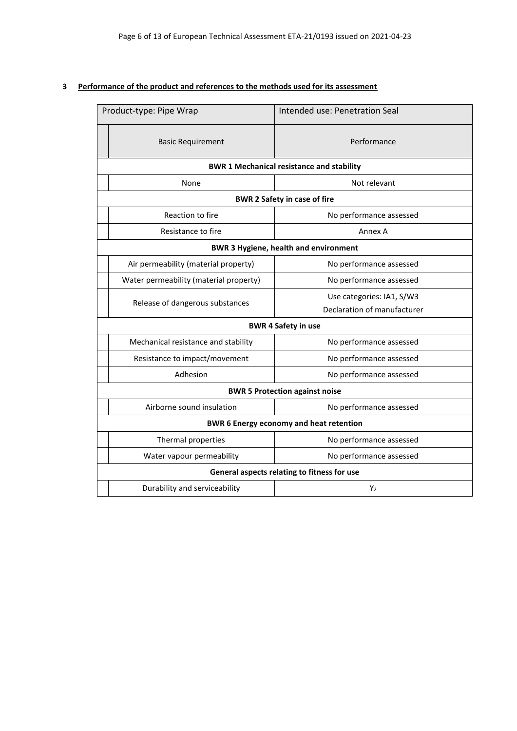## <span id="page-5-0"></span>**3 Performance of the product and references to the methods used for its assessment**

|                                                | Product-type: Pipe Wrap                          | Intended use: Penetration Seal |  |  |
|------------------------------------------------|--------------------------------------------------|--------------------------------|--|--|
|                                                | <b>Basic Requirement</b>                         | Performance                    |  |  |
|                                                | <b>BWR 1 Mechanical resistance and stability</b> |                                |  |  |
|                                                | None                                             | Not relevant                   |  |  |
| <b>BWR 2 Safety in case of fire</b>            |                                                  |                                |  |  |
|                                                | Reaction to fire                                 | No performance assessed        |  |  |
|                                                | Resistance to fire                               | Annex A                        |  |  |
| <b>BWR 3 Hygiene, health and environment</b>   |                                                  |                                |  |  |
|                                                | Air permeability (material property)             | No performance assessed        |  |  |
|                                                | Water permeability (material property)           | No performance assessed        |  |  |
|                                                | Release of dangerous substances                  | Use categories: IA1, S/W3      |  |  |
|                                                |                                                  | Declaration of manufacturer    |  |  |
| <b>BWR 4 Safety in use</b>                     |                                                  |                                |  |  |
|                                                | Mechanical resistance and stability              | No performance assessed        |  |  |
|                                                | Resistance to impact/movement                    | No performance assessed        |  |  |
|                                                | Adhesion                                         | No performance assessed        |  |  |
| <b>BWR 5 Protection against noise</b>          |                                                  |                                |  |  |
|                                                | Airborne sound insulation                        | No performance assessed        |  |  |
| <b>BWR 6 Energy economy and heat retention</b> |                                                  |                                |  |  |
|                                                | Thermal properties                               | No performance assessed        |  |  |
|                                                | Water vapour permeability                        | No performance assessed        |  |  |
| General aspects relating to fitness for use    |                                                  |                                |  |  |
|                                                | Durability and serviceability                    | Y                              |  |  |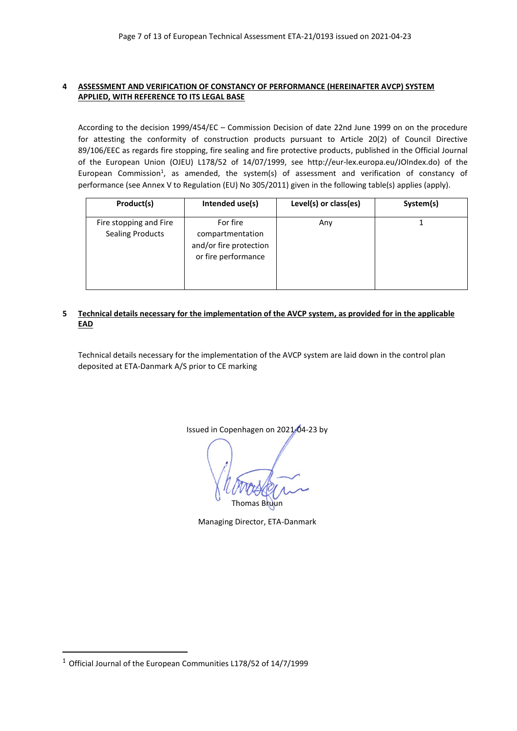## <span id="page-6-0"></span>**4 ASSESSMENT AND VERIFICATION OF CONSTANCY OF PERFORMANCE (HEREINAFTER AVCP) SYSTEM APPLIED, WITH REFERENCE TO ITS LEGAL BASE**

According to the decision 1999/454/EC – Commission Decision of date 22nd June 1999 on on the procedure for attesting the conformity of construction products pursuant to Article 20(2) of Council Directive 89/106/EEC as regards fire stopping, fire sealing and fire protective products, published in the Official Journal of the European Union (OJEU) L178/52 of 14/07/1999, see http://eur-lex.europa.eu/JOIndex.do) of the European Commission<sup>1</sup>, as amended, the system(s) of assessment and verification of constancy of performance (see Annex V to Regulation (EU) No 305/2011) given in the following table(s) applies (apply).

| Product(s)                                                                                                                         | Intended use(s) | Level(s) or class(es) | System(s) |
|------------------------------------------------------------------------------------------------------------------------------------|-----------------|-----------------------|-----------|
| For fire<br>Fire stopping and Fire<br><b>Sealing Products</b><br>compartmentation<br>and/or fire protection<br>or fire performance |                 | Any                   |           |

#### <span id="page-6-1"></span>**5 Technical details necessary for the implementation of the AVCP system, as provided for in the applicable EAD**

Technical details necessary for the implementation of the AVCP system are laid down in the control plan deposited at ETA-Danmark A/S prior to CE marking

Issued in Copenhagen on 2021-04-23 by

**Thomas Bruun** 

Managing Director, ETA-Danmark

<sup>1</sup> Official Journal of the European Communities L178/52 of 14/7/1999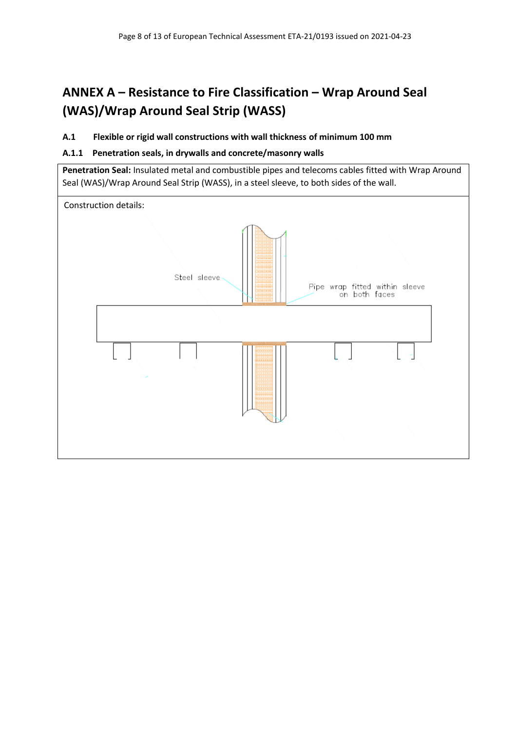# <span id="page-7-0"></span>**ANNEX A – Resistance to Fire Classification – Wrap Around Seal (WAS)/Wrap Around Seal Strip (WASS)**

## <span id="page-7-1"></span>**A.1 Flexible or rigid wall constructions with wall thickness of minimum 100 mm**

## <span id="page-7-2"></span>**A.1.1 Penetration seals, in drywalls and concrete/masonry walls**

**Penetration Seal:** Insulated metal and combustible pipes and telecoms cables fitted with Wrap Around Seal (WAS)/Wrap Around Seal Strip (WASS), in a steel sleeve, to both sides of the wall.

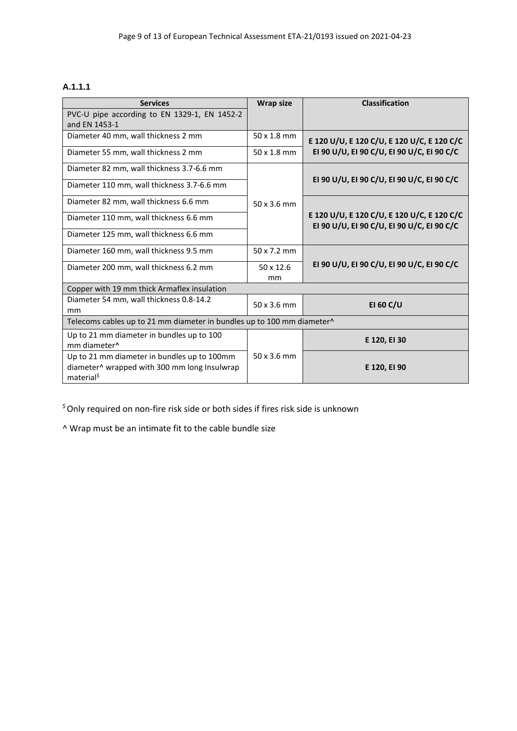## **A.1.1.1**

| <b>Services</b>                                                                                                       | <b>Wrap size</b>       | <b>Classification</b>                                                                    |  |
|-----------------------------------------------------------------------------------------------------------------------|------------------------|------------------------------------------------------------------------------------------|--|
| PVC-U pipe according to EN 1329-1, EN 1452-2<br>and EN 1453-1                                                         |                        |                                                                                          |  |
| Diameter 40 mm, wall thickness 2 mm                                                                                   | $50 \times 1.8$ mm     | E 120 U/U, E 120 C/U, E 120 U/C, E 120 C/C                                               |  |
| Diameter 55 mm, wall thickness 2 mm                                                                                   | 50 x 1.8 mm            | EI 90 U/U, EI 90 C/U, EI 90 U/C, EI 90 C/C                                               |  |
| Diameter 82 mm, wall thickness 3.7-6.6 mm                                                                             |                        |                                                                                          |  |
| Diameter 110 mm, wall thickness 3.7-6.6 mm                                                                            |                        | EI 90 U/U, EI 90 C/U, EI 90 U/C, EI 90 C/C                                               |  |
| Diameter 82 mm, wall thickness 6.6 mm                                                                                 | 50x3.6mm               |                                                                                          |  |
| Diameter 110 mm, wall thickness 6.6 mm                                                                                |                        | E 120 U/U, E 120 C/U, E 120 U/C, E 120 C/C<br>EI 90 U/U, EI 90 C/U, EI 90 U/C, EI 90 C/C |  |
| Diameter 125 mm, wall thickness 6.6 mm                                                                                |                        |                                                                                          |  |
| Diameter 160 mm, wall thickness 9.5 mm                                                                                | 50 x 7.2 mm            |                                                                                          |  |
| Diameter 200 mm, wall thickness 6.2 mm                                                                                | $50 \times 12.6$<br>mm | EI 90 U/U, EI 90 C/U, EI 90 U/C, EI 90 C/C                                               |  |
| Copper with 19 mm thick Armaflex insulation                                                                           |                        |                                                                                          |  |
| Diameter 54 mm, wall thickness 0.8-14.2<br>mm                                                                         | 50 x 3.6 mm            | <b>EI 60 C/U</b>                                                                         |  |
| Telecoms cables up to 21 mm diameter in bundles up to 100 mm diameter^                                                |                        |                                                                                          |  |
| Up to 21 mm diameter in bundles up to 100<br>mm diameter <sup>^</sup>                                                 |                        | E 120, EI 30                                                                             |  |
| Up to 21 mm diameter in bundles up to 100mm<br>diameter^ wrapped with 300 mm long Insulwrap<br>material <sup>\$</sup> | $50 \times 3.6$ mm     | E 120, EI 90                                                                             |  |

 $$$  Only required on non-fire risk side or both sides if fires risk side is unknown

^ Wrap must be an intimate fit to the cable bundle size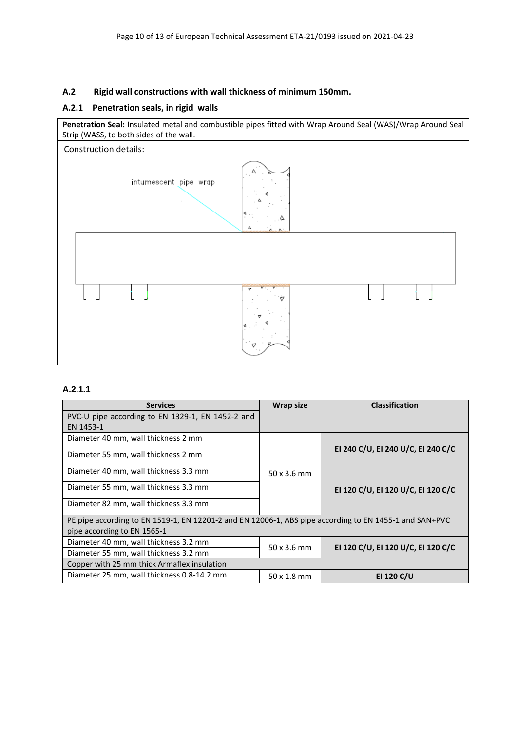## **A.2 Rigid wall constructions with wall thickness of minimum 150mm.**

#### <span id="page-9-0"></span>**A.2.1 Penetration seals, in rigid walls**

**Penetration Seal:** Insulated metal and combustible pipes fitted with Wrap Around Seal (WAS)/Wrap Around Seal Strip (WASS, to both sides of the wall.



### **A.2.1.1**

| <b>Services</b>                                                                                        | <b>Wrap size</b>   | <b>Classification</b>              |  |
|--------------------------------------------------------------------------------------------------------|--------------------|------------------------------------|--|
| PVC-U pipe according to EN 1329-1, EN 1452-2 and                                                       |                    |                                    |  |
| EN 1453-1                                                                                              |                    |                                    |  |
| Diameter 40 mm, wall thickness 2 mm                                                                    |                    | EI 240 C/U, EI 240 U/C, EI 240 C/C |  |
| Diameter 55 mm, wall thickness 2 mm                                                                    |                    |                                    |  |
| Diameter 40 mm, wall thickness 3.3 mm                                                                  | $50 \times 3.6$ mm |                                    |  |
| Diameter 55 mm, wall thickness 3.3 mm                                                                  |                    | EI 120 C/U, EI 120 U/C, EI 120 C/C |  |
| Diameter 82 mm, wall thickness 3.3 mm                                                                  |                    |                                    |  |
| PE pipe according to EN 1519-1, EN 12201-2 and EN 12006-1, ABS pipe according to EN 1455-1 and SAN+PVC |                    |                                    |  |
| pipe according to EN 1565-1                                                                            |                    |                                    |  |
| Diameter 40 mm, wall thickness 3.2 mm                                                                  | 50x3.6mm           | EI 120 C/U, EI 120 U/C, EI 120 C/C |  |
| Diameter 55 mm, wall thickness 3.2 mm                                                                  |                    |                                    |  |
| Copper with 25 mm thick Armaflex insulation                                                            |                    |                                    |  |
| Diameter 25 mm, wall thickness 0.8-14.2 mm                                                             | $50 \times 1.8$ mm | <b>EI 120 C/U</b>                  |  |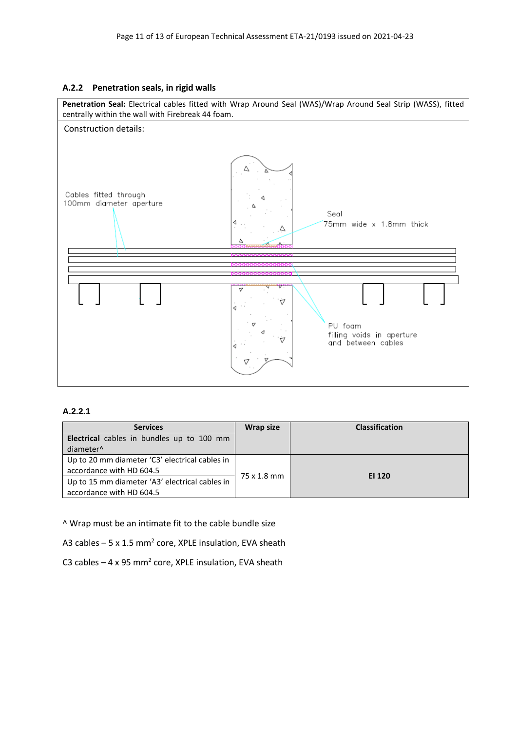#### <span id="page-10-0"></span>**A.2.2 Penetration seals, in rigid walls**



#### **A.2.2.1**

| <b>Services</b>                                | <b>Wrap size</b> | <b>Classification</b> |
|------------------------------------------------|------------------|-----------------------|
| Electrical cables in bundles up to 100 mm      |                  |                       |
| diameter <sup>^</sup>                          |                  |                       |
| Up to 20 mm diameter 'C3' electrical cables in |                  |                       |
| accordance with HD 604.5                       | 75 x 1.8 mm      | EI 120                |
| Up to 15 mm diameter 'A3' electrical cables in |                  |                       |
| accordance with HD 604.5                       |                  |                       |

^ Wrap must be an intimate fit to the cable bundle size

A3 cables  $-5 \times 1.5$  mm<sup>2</sup> core, XPLE insulation, EVA sheath

C3 cables  $-4 \times 95$  mm<sup>2</sup> core, XPLE insulation, EVA sheath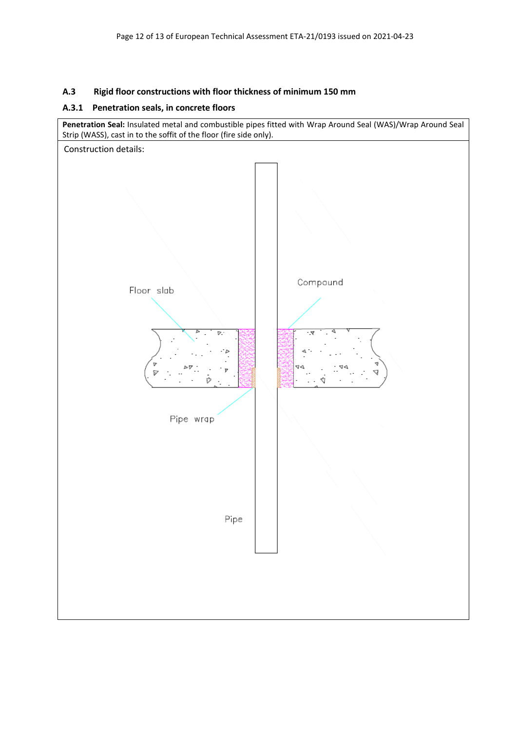## <span id="page-11-0"></span>**A.3 Rigid floor constructions with floor thickness of minimum 150 mm**

## <span id="page-11-1"></span>**A.3.1 Penetration seals, in concrete floors**